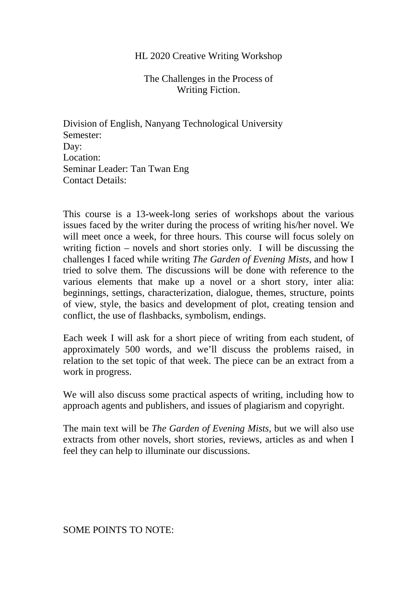## HL 2020 Creative Writing Workshop

The Challenges in the Process of Writing Fiction.

Division of English, Nanyang Technological University Semester: Day: Location: Seminar Leader: Tan Twan Eng Contact Details:

This course is a 13-week-long series of workshops about the various issues faced by the writer during the process of writing his/her novel. We will meet once a week, for three hours. This course will focus solely on writing fiction – novels and short stories only. I will be discussing the challenges I faced while writing *The Garden of Evening Mists*, and how I tried to solve them. The discussions will be done with reference to the various elements that make up a novel or a short story, inter alia: beginnings, settings, characterization, dialogue, themes, structure, points of view, style, the basics and development of plot, creating tension and conflict, the use of flashbacks, symbolism, endings.

Each week I will ask for a short piece of writing from each student, of approximately 500 words, and we'll discuss the problems raised, in relation to the set topic of that week. The piece can be an extract from a work in progress.

We will also discuss some practical aspects of writing, including how to approach agents and publishers, and issues of plagiarism and copyright.

The main text will be *The Garden of Evening Mists*, but we will also use extracts from other novels, short stories, reviews, articles as and when I feel they can help to illuminate our discussions.